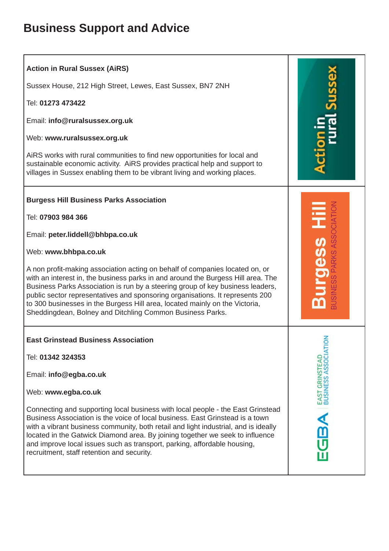## **Business Support and Advice**

| <b>Action in Rural Sussex (AiRS)</b><br>Sussex House, 212 High Street, Lewes, East Sussex, BN7 2NH<br>Tel: 01273 473422<br>Email: info@ruralsussex.org.uk<br>Web: www.ruralsussex.org.uk<br>AIRS works with rural communities to find new opportunities for local and<br>sustainable economic activity. AiRS provides practical help and support to<br>villages in Sussex enabling them to be vibrant living and working places.                                                                                                                                                                                    |                                        |
|---------------------------------------------------------------------------------------------------------------------------------------------------------------------------------------------------------------------------------------------------------------------------------------------------------------------------------------------------------------------------------------------------------------------------------------------------------------------------------------------------------------------------------------------------------------------------------------------------------------------|----------------------------------------|
| <b>Burgess Hill Business Parks Association</b><br>Tel: 07903 984 366<br>Email: peter.liddell@bhbpa.co.uk<br>Web: www.bhbpa.co.uk<br>A non profit-making association acting on behalf of companies located on, or<br>with an interest in, the business parks in and around the Burgess Hill area. The<br>Business Parks Association is run by a steering group of key business leaders,<br>public sector representatives and sponsoring organisations. It represents 200<br>to 300 businesses in the Burgess Hill area, located mainly on the Victoria,<br>Sheddingdean, Bolney and Ditchling Common Business Parks. |                                        |
| <b>East Grinstead Business Association</b><br>Tel: 01342 324353<br>Email: info@egba.co.uk<br>Web: www.egba.co.uk<br>Connecting and supporting local business with local people - the East Grinstead<br>Business Association is the voice of local business. East Grinstead is a town<br>with a vibrant business community, both retail and light industrial, and is ideally<br>located in the Gatwick Diamond area. By joining together we seek to influence<br>and improve local issues such as transport, parking, affordable housing,<br>recruitment, staff retention and security.                              | 중<br>EAST GRINSTEAD<br>BUSINESS ASSOCI |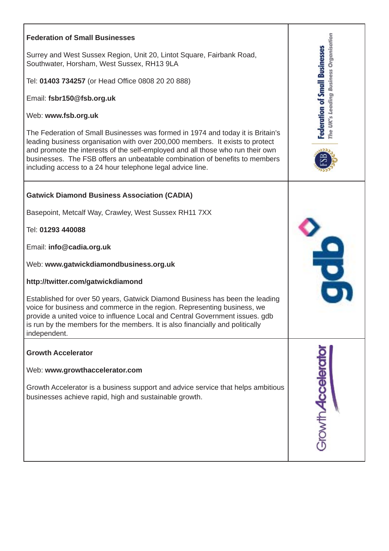| <b>Federation of Small Businesses</b><br>Surrey and West Sussex Region, Unit 20, Lintot Square, Fairbank Road,<br>Southwater, Horsham, West Sussex, RH13 9LA<br>Tel: 01403 734257 (or Head Office 0808 20 20 888)<br>Email: fsbr150@fsb.org.uk<br>Web: www.fsb.org.uk<br>The Federation of Small Businesses was formed in 1974 and today it is Britain's<br>leading business organisation with over 200,000 members. It exists to protect<br>and promote the interests of the self-employed and all those who run their own<br>businesses. The FSB offers an unbeatable combination of benefits to members<br>including access to a 24 hour telephone legal advice line. | The UK's Leading Business Organisation<br><b>Federation of Small Businesses</b> |
|--------------------------------------------------------------------------------------------------------------------------------------------------------------------------------------------------------------------------------------------------------------------------------------------------------------------------------------------------------------------------------------------------------------------------------------------------------------------------------------------------------------------------------------------------------------------------------------------------------------------------------------------------------------------------|---------------------------------------------------------------------------------|
| <b>Gatwick Diamond Business Association (CADIA)</b><br>Basepoint, Metcalf Way, Crawley, West Sussex RH11 7XX<br>Tel: 01293 440088<br>Email: info@cadia.org.uk<br>Web: www.gatwickdiamondbusiness.org.uk<br>http://twitter.com/gatwickdiamond<br>Established for over 50 years, Gatwick Diamond Business has been the leading<br>voice for business and commerce in the region. Representing business, we<br>provide a united voice to influence Local and Central Government issues, adb<br>is run by the members for the members. It is also financially and politically<br>independent.                                                                                |                                                                                 |
| <b>Growth Accelerator</b><br>Web: www.growthaccelerator.com<br>Growth Accelerator is a business support and advice service that helps ambitious<br>businesses achieve rapid, high and sustainable growth.                                                                                                                                                                                                                                                                                                                                                                                                                                                                | <b>Browth Accelerat</b>                                                         |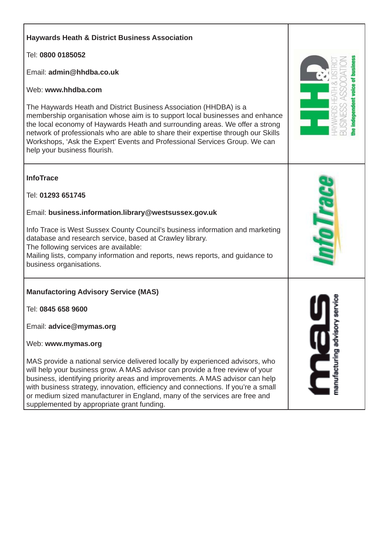## **Haywards Heath & District Business Association** Tel: **0800 0185052** Email: **admin@hhdba.co.uk** Web: **www.hhdba.com** The Haywards Heath and District Business Association (HHDBA) is a membership organisation whose aim is to support local businesses and enhance the local economy of Haywards Heath and surrounding areas. We offer a strong network of professionals who are able to share their expertise through our Skills Workshops, 'Ask the Expert' Events and Professional Services Group. We can help your business flourish. **InfoTrace** Tel: **01293 651745** Email: **business.information.library@westsussex.gov.uk** Info Trace is West Sussex County Council's business information and marketing database and research service, based at Crawley library. The following services are available: Mailing lists, company information and reports, news reports, and guidance to business organisations. **Manufactoring Advisory Service (MAS)** Tel: **0845 658 9600** Email: **advice@mymas.org** Web: **www.mymas.org** MAS provide a national service delivered locally by experienced advisors, who will help your business grow. A MAS advisor can provide a free review of your business, identifying priority areas and improvements. A MAS advisor can help with business strategy, innovation, efficiency and connections. If you're a small or medium sized manufacturer in England, many of the services are free and supplemented by appropriate grant funding.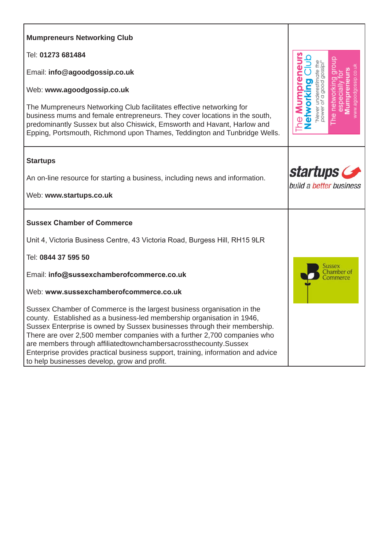| <b>Mumpreneurs Networking Club</b>                                                                                                                                                                                                                                                                                                                                                                                                                                                                                |                                                                                             |
|-------------------------------------------------------------------------------------------------------------------------------------------------------------------------------------------------------------------------------------------------------------------------------------------------------------------------------------------------------------------------------------------------------------------------------------------------------------------------------------------------------------------|---------------------------------------------------------------------------------------------|
|                                                                                                                                                                                                                                                                                                                                                                                                                                                                                                                   |                                                                                             |
| Tel: 01273 681484                                                                                                                                                                                                                                                                                                                                                                                                                                                                                                 |                                                                                             |
| Email: info@agoodgossip.co.uk                                                                                                                                                                                                                                                                                                                                                                                                                                                                                     |                                                                                             |
| Web: www.agoodgossip.co.uk                                                                                                                                                                                                                                                                                                                                                                                                                                                                                        |                                                                                             |
| The Mumpreneurs Networking Club facilitates effective networking for<br>business mums and female entrepreneurs. They cover locations in the south,<br>predominantly Sussex but also Chiswick, Emsworth and Havant, Harlow and<br>Epping, Portsmouth, Richmond upon Thames, Teddington and Tunbridge Wells.                                                                                                                                                                                                        | he <b>Mumpreneurs</b><br>"Never underestimate the<br>power of a good gossip!"<br>Networking |
| <b>Startups</b>                                                                                                                                                                                                                                                                                                                                                                                                                                                                                                   |                                                                                             |
| An on-line resource for starting a business, including news and information.                                                                                                                                                                                                                                                                                                                                                                                                                                      | startups <b>Comparison</b><br>build a better business                                       |
| Web: www.startups.co.uk                                                                                                                                                                                                                                                                                                                                                                                                                                                                                           |                                                                                             |
| <b>Sussex Chamber of Commerce</b>                                                                                                                                                                                                                                                                                                                                                                                                                                                                                 |                                                                                             |
| Unit 4, Victoria Business Centre, 43 Victoria Road, Burgess Hill, RH15 9LR                                                                                                                                                                                                                                                                                                                                                                                                                                        |                                                                                             |
| Tel: 0844 37 595 50                                                                                                                                                                                                                                                                                                                                                                                                                                                                                               |                                                                                             |
| Email: info@sussexchamberofcommerce.co.uk                                                                                                                                                                                                                                                                                                                                                                                                                                                                         |                                                                                             |
| Web: www.sussexchamberofcommerce.co.uk                                                                                                                                                                                                                                                                                                                                                                                                                                                                            |                                                                                             |
| Sussex Chamber of Commerce is the largest business organisation in the<br>county. Established as a business-led membership organisation in 1946,<br>Sussex Enterprise is owned by Sussex businesses through their membership.<br>There are over 2,500 member companies with a further 2,700 companies who<br>are members through affiliatedtownchambersacrossthecounty.Sussex<br>Enterprise provides practical business support, training, information and advice<br>to help businesses develop, grow and profit. |                                                                                             |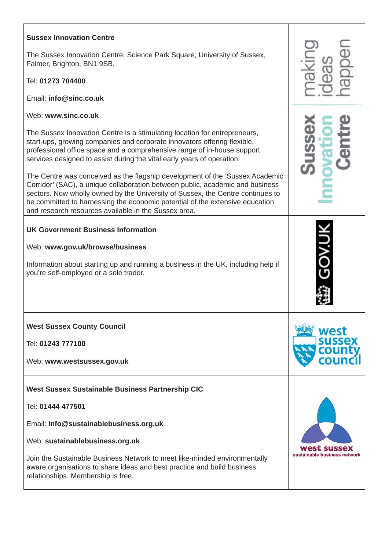| <b>Sussex Innovation Centre</b><br>The Sussex Innovation Centre, Science Park Square, University of Sussex,<br>Falmer, Brighton, BN1 9SB.<br>Tel: 01273 704400<br>Email: info@sinc.co.uk                                                                                                                                                                                                                                                                                                                                                                                                                                                                                                                                     |                                        |
|------------------------------------------------------------------------------------------------------------------------------------------------------------------------------------------------------------------------------------------------------------------------------------------------------------------------------------------------------------------------------------------------------------------------------------------------------------------------------------------------------------------------------------------------------------------------------------------------------------------------------------------------------------------------------------------------------------------------------|----------------------------------------|
| Web: www.sinc.co.uk<br>The Sussex Innovation Centre is a stimulating location for entrepreneurs,<br>start-ups, growing companies and corporate innovators offering flexible,<br>professional office space and a comprehensive range of in-house support<br>services designed to assist during the vital early years of operation.<br>The Centre was conceived as the flagship development of the 'Sussex Academic<br>Corridor' (SAC), a unique collaboration between public, academic and business<br>sectors. Now wholly owned by the University of Sussex, the Centre continues to<br>be committed to harnessing the economic potential of the extensive education<br>and research resources available in the Sussex area. |                                        |
| <b>UK Government Business Information</b><br>Web: www.gov.uk/browse/business<br>Information about starting up and running a business in the UK, including help if<br>you're self-employed or a sole trader.                                                                                                                                                                                                                                                                                                                                                                                                                                                                                                                  |                                        |
| <b>West Sussex County Council</b><br>Tel: 01243 777100<br>Web: www.westsussex.gov.uk                                                                                                                                                                                                                                                                                                                                                                                                                                                                                                                                                                                                                                         | west<br>sussex<br>cour                 |
| West Sussex Sustainable Business Partnership CIC<br>Tel: 01444 477501<br>Email: info@sustainablebusiness.org.uk<br>Web: sustainablebusiness.org.uk<br>Join the Sustainable Business Network to meet like-minded environmentally<br>aware organisations to share ideas and best practice and build business<br>relationships. Membership is free.                                                                                                                                                                                                                                                                                                                                                                             | sussex<br>sustainable business network |